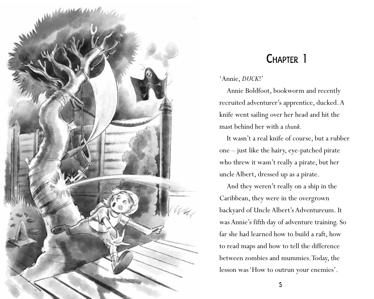

## Chapter 1

'Annie, *DUCK*!'

Annie Boldfoot, bookworm and recently recruited adventurer's apprentice, ducked. A knife went sailing over her head and hit the mast behind her with a *thunk.* 

It wasn't a real knife of course, but a rubber one – just like the hairy, eye-patched pirate who threw it wasn't really a pirate, but her uncle Albert, dressed up as a pirate.

And they weren't really on a ship in the Caribbean, they were in the overgrown backyard of Uncle Albert's Adventureum. It was Annie's fifth day of adventure training. So far she had learned how to build a raft, how to read maps and how to tell the difference between zombies and mummies. Today, the lesson was 'How to outrun your enemies'.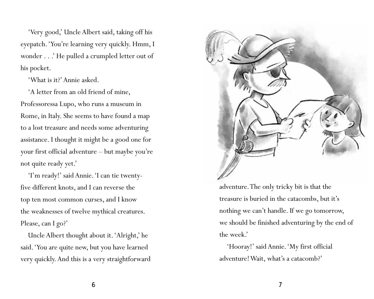'Very good,' Uncle Albert said, taking off his eyepatch. 'You're learning very quickly. Hmm, I wonder . . .' He pulled a crumpled letter out of his pocket.

'What is it?' Annie asked.

'A letter from an old friend of mine, Professoressa Lupo, who runs a museum in Rome, in Italy. She seems to have found a map to a lost treasure and needs some adventuring assistance. I thought it might be a good one for your first official adventure – but maybe you're not quite ready yet.'

'I'm ready!' said Annie. 'I can tie twentyfive different knots, and I can reverse the top ten most common curses, and I know the weaknesses of twelve mythical creatures. Please, can I go?'

Uncle Albert thought about it. 'Alright,' he said. 'You are quite new, but you have learned very quickly. And this is a very straightforward



adventure. The only tricky bit is that the treasure is buried in the catacombs, but it's nothing we can't handle. If we go tomorrow, we should be finished adventuring by the end of the week.'

'Hooray!' said Annie. 'My first official adventure! Wait, what's a catacomb?'